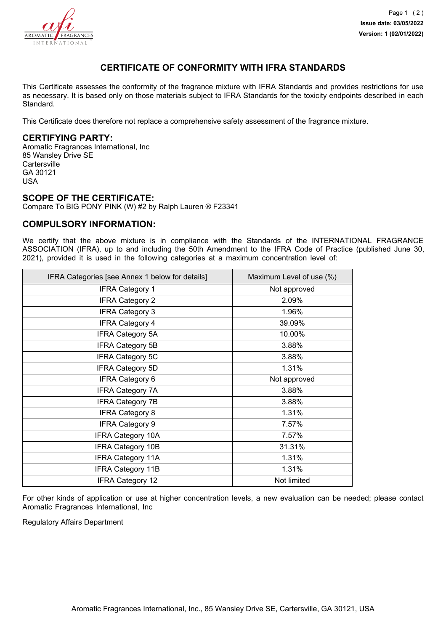

# **CERTIFICATE OF CONFORMITY WITH IFRA STANDARDS**

This Certificate assesses the conformity of the fragrance mixture with IFRA Standards and provides restrictions for use as necessary. It is based only on those materials subject to IFRA Standards for the toxicity endpoints described in each Standard.

This Certificate does therefore not replace a comprehensive safety assessment of the fragrance mixture.

## **CERTIFYING PARTY:**

Aromatic Fragrances International, Inc 85 Wansley Drive SE **Cartersville** GA 30121 USA

#### **SCOPE OF THE CERTIFICATE:**

Compare To BIG PONY PINK (W) #2 by Ralph Lauren ® F23341

### **COMPULSORY INFORMATION:**

We certify that the above mixture is in compliance with the Standards of the INTERNATIONAL FRAGRANCE ASSOCIATION (IFRA), up to and including the 50th Amendment to the IFRA Code of Practice (published June 30, 2021), provided it is used in the following categories at a maximum concentration level of:

| IFRA Categories [see Annex 1 below for details] | Maximum Level of use (%) |
|-------------------------------------------------|--------------------------|
| <b>IFRA Category 1</b>                          | Not approved             |
| <b>IFRA Category 2</b>                          | 2.09%                    |
| <b>IFRA Category 3</b>                          | 1.96%                    |
| <b>IFRA Category 4</b>                          | 39.09%                   |
| IFRA Category 5A                                | 10.00%                   |
| <b>IFRA Category 5B</b>                         | 3.88%                    |
| <b>IFRA Category 5C</b>                         | 3.88%                    |
| <b>IFRA Category 5D</b>                         | 1.31%                    |
| <b>IFRA Category 6</b>                          | Not approved             |
| <b>IFRA Category 7A</b>                         | 3.88%                    |
| <b>IFRA Category 7B</b>                         | 3.88%                    |
| <b>IFRA Category 8</b>                          | 1.31%                    |
| <b>IFRA Category 9</b>                          | 7.57%                    |
| <b>IFRA Category 10A</b>                        | 7.57%                    |
| <b>IFRA Category 10B</b>                        | 31.31%                   |
| <b>IFRA Category 11A</b>                        | 1.31%                    |
| <b>IFRA Category 11B</b>                        | 1.31%                    |
| <b>IFRA Category 12</b>                         | Not limited              |

For other kinds of application or use at higher concentration levels, a new evaluation can be needed; please contact Aromatic Fragrances International, Inc

Regulatory Affairs Department